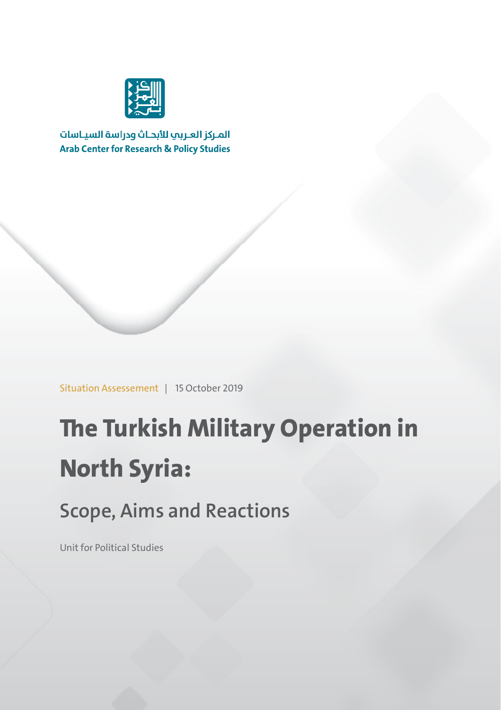

المركز العربب للأبحاث ودراسة السياسات **Arab Center for Research & Policy Studies** 

Situation Assessement | 15 October 2019

# **The Turkish Military Operation in North Syria:**

## **Scope, Aims and Reactions**

Unit for Political Studies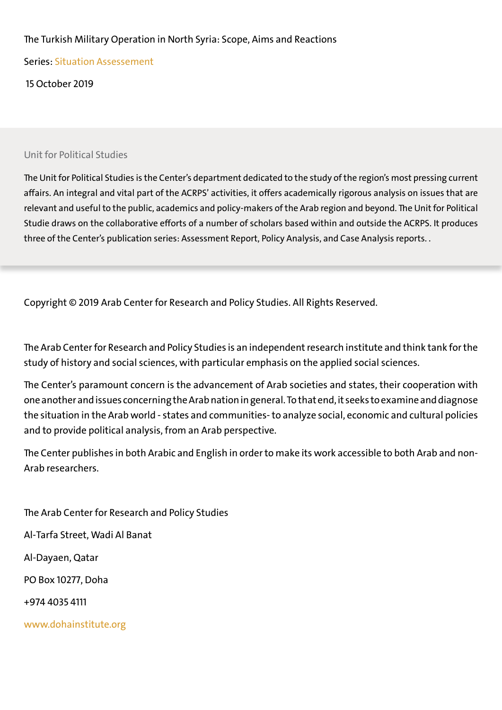#### The Turkish Military Operation in North Syria: Scope, Aims and Reactions

Series: Situation Assessement

15 October 2019

#### Unit for Political Studies

The Unit for Political Studies is the Center's department dedicated to the study of the region's most pressing current affairs. An integral and vital part of the ACRPS' activities, it offers academically rigorous analysis on issues that are relevant and useful to the public, academics and policy-makers of the Arab region and beyond. The Unit for Political Studie draws on the collaborative efforts of a number of scholars based within and outside the ACRPS. It produces three of the Center's publication series: Assessment Report, Policy Analysis, and Case Analysis reports. .

Copyright © 2019 Arab Center for Research and Policy Studies. All Rights Reserved.

The Arab Center for Research and Policy Studies is an independent research institute and think tank for the study of history and social sciences, with particular emphasis on the applied social sciences.

The Center's paramount concern is the advancement of Arab societies and states, their cooperation with one another and issues concerning the Arab nation in general. To that end, it seeks to examine anddiagnose the situation in the Arab world - states and communities- to analyze social, economic and cultural policies and to provide political analysis, from an Arab perspective.

The Center publishes in both Arabic and English in order to make its work accessible to both Arab and non-Arab researchers.

The Arab Center for Research and Policy Studies Al-Tarfa Street, Wadi Al Banat Al-Dayaen, Qatar PO Box 10277, Doha +974 4035 4111 www.dohainstitute.org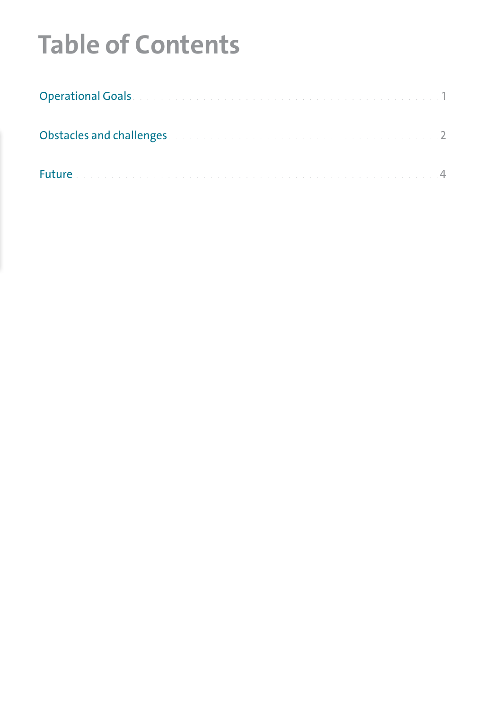# **Table of Contents**

| Obstacles and challenges. The contract of the contract of the contract of |  |
|---------------------------------------------------------------------------|--|
| <b>Future</b>                                                             |  |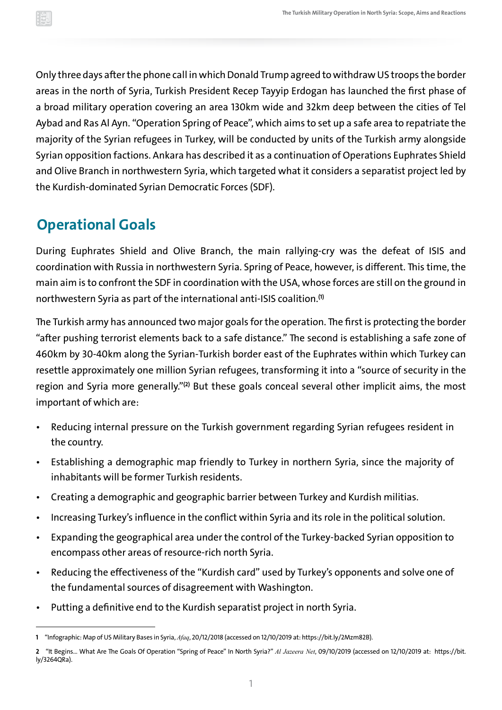<span id="page-3-0"></span>Only three days after the phone call in which Donald Trump agreed to withdrawUS troops the border areas in the north of Syria, Turkish President Recep Tayyip Erdogan has launched the first phase of a broad military operation covering an area 130km wide and 32km deep between the cities of Tel Aybad and Ras Al Ayn. "Operation Spring of Peace", which aims to set up a safe area to repatriate the majority of the Syrian refugees in Turkey, will be conducted by units of the Turkish army alongside Syrian opposition factions. Ankara has described it as a continuation of Operations Euphrates Shield and Olive Branch in northwestern Syria, which targeted what it considers a separatist project led by the Kurdish-dominated Syrian Democratic Forces (SDF).

### **Operational Goals**

During Euphrates Shield and Olive Branch, the main rallying-cry was the defeat of ISIS and coordination with Russia in northwestern Syria. Spring of Peace, however, is different. This time, the main aim is to confront the SDF in coordination with the USA, whose forces are still on the ground in northwestern Syria as part of the international anti-ISIS coalition. **(1)**

The Turkish army has announced two major goals for the operation. The first is protecting the border "after pushing terrorist elements back to a safe distance." The second is establishing a safe zone of 460km by 30-40km along the Syrian-Turkish border east of the Euphrates within which Turkey can resettle approximately one million Syrian refugees, transforming it into a "source of security in the region and Syria more generally."**(2)** But these goals conceal several other implicit aims, the most important of which are:

- Reducing internal pressure on the Turkish government regarding Syrian refugees resident in the country.
- Establishing a demographic map friendly to Turkey in northern Syria, since the majority of inhabitants will be former Turkish residents.
- Creating a demographic and geographic barrier between Turkey and Kurdish militias.
- Increasing Turkey's influence in the conflict within Syria and its role in the political solution.
- Expanding the geographical area under the control of the Turkey-backed Syrian opposition to encompass other areas of resource-rich north Syria.
- Reducing the effectiveness of the "Kurdish card" used by Turkey's opponents and solve one of the fundamental sources of disagreement with Washington.
- Putting a definitive end to the Kurdish separatist project in north Syria.

**<sup>1</sup>** "Infographic: Map of US Military Bases in Syria, *Afaq*, 20/12/2018 (accessed on 12/10/2019 at:<https://bit.ly/2Mzm82B>).

**<sup>2</sup>** "It Begins… What Are The Goals Of Operation "Spring of Peace" In North Syria?" *Al Jazeera Net*, 09/10/2019 (accessed on 12/10/2019 at: [https://bit.](https://bit.ly/3264QRa) [ly/3264QRa\)](https://bit.ly/3264QRa).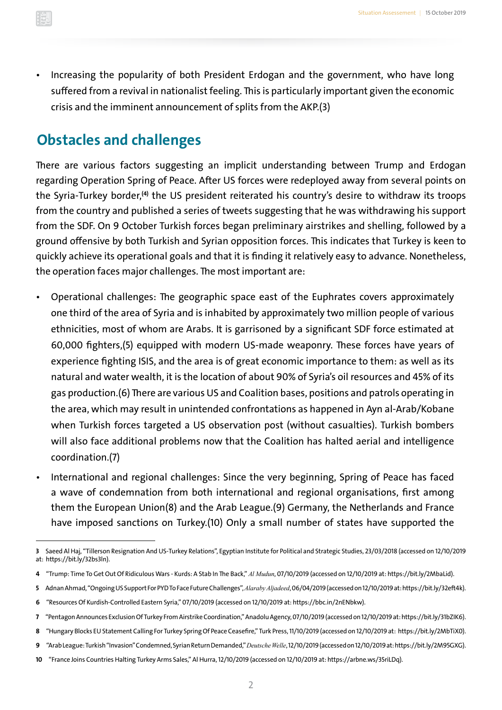<span id="page-4-0"></span>• Increasing the popularity of both President Erdogan and the government, who have long suffered from a revival in nationalist feeling. This is particularly important given the economic crisis and the imminent announcement of splits from the AKP.(3)

### **Obstacles and challenges**

There are various factors suggesting an implicit understanding between Trump and Erdogan regarding Operation Spring of Peace. After US forces were redeployed away from several points on the Syria-Turkey border,<sup>(4)</sup> the US president reiterated his country's desire to withdraw it from the country and published a series of tweets suggesting that he was withdrawing his support from the SDF. On 9 October Turkish forces began preliminary airstrikes and shelling, followed by a ground offensive by both Turkish and Syrian opposition forces. This indicates that Turkey is keen to quickly achieve its operational goals and that it is finding it relatively easy to advance. Nonetheless, the operation faces major challenges. The most important are:

- •Operational challenges: The geographic space east of the Euphrates covers approximately one third of the area of Syria and is inhabited by approximately two million people of various ethnicities, most of whom are Arabs. It is garrisoned by a significant SDF force estimated at 60,000 fighters,(5) equipped with modern US-made weaponry. These forces have years of experience fighting ISIS, and the area is of great economic importance to them: as well as its natural and water wealth, it is the location of about 90% of Syria's oil resources and 45% of its gas production.(6) There are various US and Coalition bases, positions and patrols operating in the area, which may result in unintended confrontations as happened in Ayn al-Arab/Kobane when Turkish forces targeted a US observation post (without casualties). Turkish bombers will also face additional problems now that the Coalition has halted aerial and intelligence coordination.(7)
- International and regional challenges: Since the very beginning, Spring of Peace has faced a wave of condemnation from both international and regional organisations, first among them the European Union(8) and the Arab League.(9) Germany, the Netherlands and France have imposed sanctions on Turkey.(10) Only a small number of states have supported the

**<sup>3</sup>**Saeed Al Haj, "Tillerson Resignation And US-Turkey Relations", Egyptian Institute for Political and Strategic Studies, 23/03/2018 (accessed on 12/10/2019 at:<https://bit.ly/32bs3ln>).

**<sup>4</sup>** "Trump: Time To Get Out Of Ridiculous Wars - Kurds: A Stab In The Back," *Al Mudun*, 07/10/2019 (accessed on 12/10/2019 at:<https://bit.ly/2MbaLid>).

**<sup>5</sup>** Adnan Ahmad, "OngoingUS Support For PYD To Face Future Challenges",*Alaraby Aljadeed*,06/04/2019(accessed on 12/10/2019 at: [https://bit.ly/32eft4k\)](https://bit.ly/32eft4k).

**<sup>6</sup>** "Resources Of Kurdish-Controlled Eastern Syria," 07/10/2019 (accessed on 12/10/2019 at: [https://bbc.in/2nENbkw\)](https://bbc.in/2nENbkw).

**<sup>7</sup>** "Pentagon Announces Exclusion Of Turkey FromAirstrike Coordination,"Anadolu Agency,07/10/2019(accessed on 12/10/2019 at: [https://bit.ly/31bZIK6\)](https://bit.ly/31bZIK6).

**<sup>8</sup>** "Hungary Blocks EU Statement Calling For Turkey Spring Of Peace Ceasefire," Turk Press,11/10/2019 (accessed on 12/10/2019 at: [https://bit.ly/2MbTiX0\)](https://bit.ly/2MbTiX0).

**<sup>9</sup>** "ArabLeague: Turkish "Invasion"Condemned, Syrian Return Demanded,"*Deutsche Welle*,12/10/2019(accessed on 12/10/2019 at: [https://bit.ly/2M95GXG\)](https://bit.ly/2M95GXG).

**<sup>10</sup>** "France Joins Countries Halting Turkey Arms Sales," Al Hurra,12/10/2019 (accessed on 12/10/2019 at:<https://arbne.ws/35riLDq>).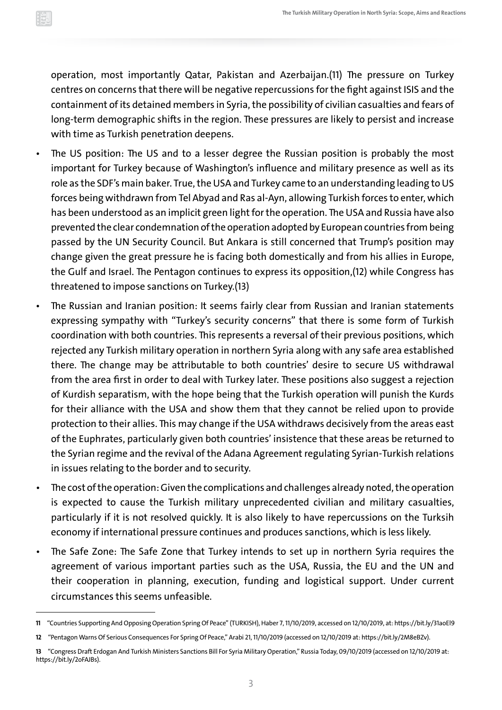operation, most importantly Qatar, Pakistan and Azerbaijan.(11) The pressure on Turkey centres on concerns that there will be negative repercussions for the fight against ISIS and the containment of its detained members in Syria, the possibility of civilian casualties and fears of long-term demographic shifts in the region. These pressures are likely to persist and increase with time as Turkish penetration deepens.

- The US position: The US and to a lesser degree the Russian position is probably the most important for Turkey because of Washington's influence and military presence as well as its role as the SDF's main baker. True, the USA and Turkey came to an understanding leading to US forces being withdrawn from Tel Abyad and Ras al-Ayn, allowing Turkish forces to enter, which has been understood as an implicit green light for the operation. The USA and Russia have also prevented the clear condemnation of the operation adopted by European countries frombeing passed by the UN Security Council. But Ankara is still concerned that Trump's position may change given the great pressure he is facing both domestically and from his allies in Europe, the Gulf and Israel. The Pentagon continues to express its opposition,(12) while Congress has threatened to impose sanctions on Turkey.(13)
- The Russian and Iranian position: It seems fairly clear from Russian and Iranian statements expressing sympathy with "Turkey's security concerns" that there is some form of Turkish coordination with both countries. This represents a reversal of their previous positions, which rejected any Turkish military operation in northern Syria along with any safe area established there. The change may be attributable to both countries' desire to secure US withdrawal from the area first in order to deal with Turkey later. These positions also suggest a rejection of Kurdish separatism, with the hope being that the Turkish operation will punish the Kurds for their alliance with the USA and show them that they cannot be relied upon to provide protection to their allies. This may change if the USA withdraws decisively from the areas east of the Euphrates, particularly given both countries' insistence that these areas be returned to the Syrian regime and the revival of the Adana Agreement regulating Syrian-Turkish relations in issues relating to the border and to security.
- The cost of the operation:Given the complications and challenges already noted, the operation is expected to cause the Turkish military unprecedented civilian and military casualties, particularly if it is not resolved quickly. It is also likely to have repercussions on the Turksih economy if international pressure continues and produces sanctions, which is less likely.
- The Safe Zone: The Safe Zone that Turkey intends to set up in northern Syria requires the agreement of various important parties such as the USA, Russia, the EU and the UN and their cooperation in planning, execution, funding and logistical support. Under current circumstances this seems unfeasible.

**<sup>11</sup>** "Countries Supporting And Opposing Operation Spring Of Peace" (TURKISH),Haber 7,11/10/2019, accessed on 12/10/2019, at: [https://bit.ly/31aoEl9](https://bit.ly/31aoEl9 )

**<sup>12</sup>** "Pentagon Warns Of Serious Consequences For Spring Of Peace," Arabi 21,11/10/2019 (accessed on 12/10/2019 at:<https://bit.ly/2M8eBZv>).

**<sup>13</sup>** "Congress Draft Erdogan And Turkish Ministers Sanctions Bill For Syria Military Operation," Russia Today, 09/10/2019 (accessed on 12/10/2019 at: <https://bit.ly/2oFAJBs>).